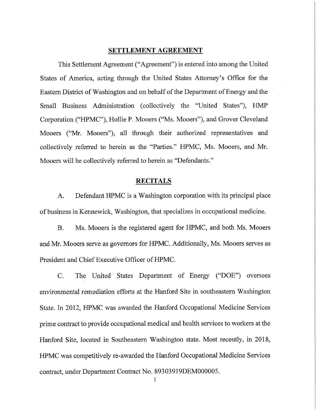#### SETTLEMENT AGREEMENT

This Settlement Agreement ("Agreement") is entered into among the United States of America, acting through the United States Attorney's Office for the Eastern District of Washington and on behalf of the Department of Energy and the Small Business Administration (collectively the "United States"), HMP Corporation ("HPMC"), Hollie P. Mooers ("Ms. Mooers"), and Grover Cleveland Mooers ("Mr. Mooers"), all through their authorized representatives and collectively referred to herein as the "Parties." HPMC, Ms. Mooers, and Mr. Mooers will be collectively referred to herein as "Defendants."

#### **RECITALS**

Defendant HPMC is a Washington corporation with its principal place  $\mathbf{A}$ . of business in Kennewick, Washington, that specializes in occupational medicine.

**B.** Ms. Mooers is the registered agent for HPMC, and both Ms. Mooers and Mr. Mooers serve as governors for HPMC. Additionally, Ms. Mooers serves as President and Chief Executive Officer of HPMC.

C. The United States Department of Energy ("DOE") oversees environmental remediation efforts at the Hanford Site in southeastern Washington State. In 2012, HPMC was awarded the Hanford Occupational Medicine Services prime contract to provide occupational medical and health services to workers at the Hanford Site, located in Southeastern Washington state. Most recently, in 2018, HPMC was competitively re-awarded the Hanford Occupational Medicine Services contract, under Department Contract No. 89303919DEM000005.

 $\mathbf{1}$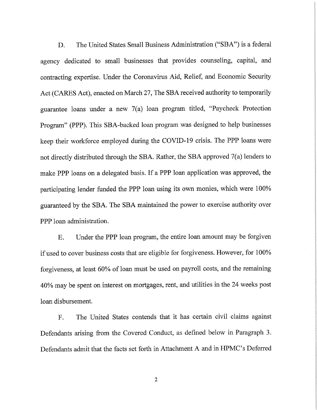The United States Small Business Administration ("SBA") is a federal D. agency dedicated to small businesses that provides counseling, capital, and contracting expertise. Under the Coronavirus Aid, Relief, and Economic Security Act (CARES Act), enacted on March 27, The SBA received authority to temporarily guarantee loans under a new 7(a) loan program titled, "Paycheck Protection Program" (PPP). This SBA-backed loan program was designed to help businesses keep their workforce employed during the COVID-19 crisis. The PPP loans were not directly distributed through the SBA. Rather, the SBA approved 7(a) lenders to make PPP loans on a delegated basis. If a PPP loan application was approved, the participating lender funded the PPP loan using its own monies, which were 100% guaranteed by the SBA. The SBA maintained the power to exercise authority over PPP loan administration.

Under the PPP loan program, the entire loan amount may be forgiven **E.** if used to cover business costs that are eligible for forgiveness. However, for 100% forgiveness, at least 60% of loan must be used on payroll costs, and the remaining 40% may be spent on interest on mortgages, rent, and utilities in the 24 weeks post loan disbursement.

The United States contends that it has certain civil claims against  $F.$ Defendants arising from the Covered Conduct, as defined below in Paragraph 3. Defendants admit that the facts set forth in Attachment A and in HPMC's Deferred

 $\overline{2}$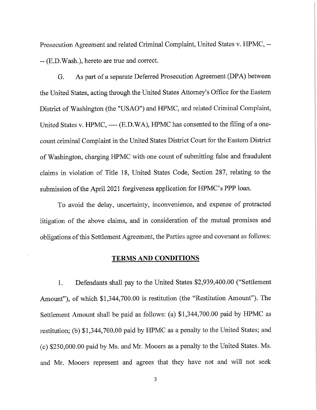Prosecution Agreement and related Criminal Complaint, United States v. HPMC, ---- (E.D. Wash.), hereto are true and correct.

As part of a separate Deferred Prosecution Agreement (DPA) between G. the United States, acting through the United States Attorney's Office for the Eastern District of Washington (the "USAO") and HPMC, and related Criminal Complaint, United States v. HPMC, ---- (E.D.WA), HPMC has consented to the filing of a onecount criminal Complaint in the United States District Court for the Eastern District of Washington, charging HPMC with one count of submitting false and fraudulent claims in violation of Title 18, United States Code, Section 287, relating to the submission of the April 2021 forgiveness application for HPMC's PPP loan.

To avoid the delay, uncertainty, inconvenience, and expense of protracted litigation of the above claims, and in consideration of the mutual promises and obligations of this Settlement Agreement, the Parties agree and covenant as follows:

#### **TERMS AND CONDITIONS**

Defendants shall pay to the United States \$2,939,400.00 ("Settlement 1. Amount"), of which \$1,344,700.00 is restitution (the "Restitution Amount"). The Settlement Amount shall be paid as follows: (a) \$1,344,700.00 paid by HPMC as restitution; (b) \$1,344,700.00 paid by HPMC as a penalty to the United States; and (c) \$250,000.00 paid by Ms. and Mr. Mooers as a penalty to the United States. Ms. and Mr. Mooers represent and agrees that they have not and will not seek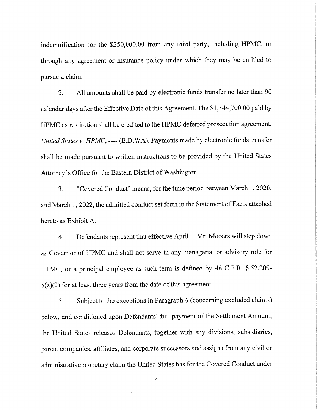indemnification for the \$250,000.00 from any third party, including HPMC, or through any agreement or insurance policy under which they may be entitled to pursue a claim.

All amounts shall be paid by electronic funds transfer no later than 90 2. calendar days after the Effective Date of this Agreement. The \$1,344,700.00 paid by HPMC as restitution shall be credited to the HPMC deferred prosecution agreement, United States v. HPMC, ---- (E.D.WA). Payments made by electronic funds transfer shall be made pursuant to written instructions to be provided by the United States Attorney's Office for the Eastern District of Washington.

"Covered Conduct" means, for the time period between March 1, 2020, 3. and March 1, 2022, the admitted conduct set forth in the Statement of Facts attached hereto as Exhibit A.

Defendants represent that effective April 1, Mr. Mooers will step down 4. as Governor of HPMC and shall not serve in any managerial or advisory role for HPMC, or a principal employee as such term is defined by 48 C.F.R. § 52.209- $5(a)(2)$  for at least three years from the date of this agreement.

Subject to the exceptions in Paragraph 6 (concerning excluded claims) 5. below, and conditioned upon Defendants' full payment of the Settlement Amount, the United States releases Defendants, together with any divisions, subsidiaries, parent companies, affiliates, and corporate successors and assigns from any civil or administrative monetary claim the United States has for the Covered Conduct under

 $\overline{4}$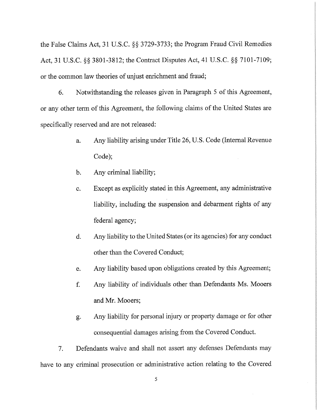the False Claims Act, 31 U.S.C. §§ 3729-3733; the Program Fraud Civil Remedies Act, 31 U.S.C. §§ 3801-3812; the Contract Disputes Act, 41 U.S.C. §§ 7101-7109; or the common law theories of unjust enrichment and fraud;

6. Notwithstanding the releases given in Paragraph 5 of this Agreement, or any other term of this Agreement, the following claims of the United States are specifically reserved and are not released:

- Any liability arising under Title 26, U.S. Code (Internal Revenue) a. Code);
- Any criminal liability;  $b.$
- Except as explicitly stated in this Agreement, any administrative  $\mathbf{c}$ . liability, including the suspension and debarment rights of any federal agency;
- $d.$ Any liability to the United States (or its agencies) for any conduct other than the Covered Conduct;
- Any liability based upon obligations created by this Agreement; e.
- $f_{\cdot}$ Any liability of individuals other than Defendants Ms. Mooers and Mr. Mooers;
- Any liability for personal injury or property damage or for other g. consequential damages arising from the Covered Conduct.

 $7.$ Defendants waive and shall not assert any defenses Defendants may have to any criminal prosecution or administrative action relating to the Covered

5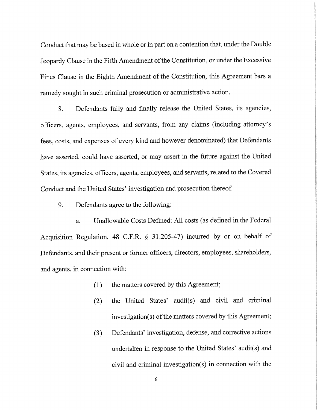Conduct that may be based in whole or in part on a contention that, under the Double Jeopardy Clause in the Fifth Amendment of the Constitution, or under the Excessive Fines Clause in the Eighth Amendment of the Constitution, this Agreement bars a remedy sought in such criminal prosecution or administrative action.

Defendants fully and finally release the United States, its agencies, 8. officers, agents, employees, and servants, from any claims (including attorney's fees, costs, and expenses of every kind and however denominated) that Defendants have asserted, could have asserted, or may assert in the future against the United States, its agencies, officers, agents, employees, and servants, related to the Covered Conduct and the United States' investigation and prosecution thereof.

9. Defendants agree to the following:

Unallowable Costs Defined: All costs (as defined in the Federal a. Acquisition Regulation, 48 C.F.R. § 31.205-47) incurred by or on behalf of Defendants, and their present or former officers, directors, employees, shareholders, and agents, in connection with:

- the matters covered by this Agreement;  $(1)$
- the United States' audit(s) and civil and criminal  $(2)$ investigation(s) of the matters covered by this Agreement;
- Defendants' investigation, defense, and corrective actions  $(3)$ undertaken in response to the United States' audit(s) and civil and criminal investigation(s) in connection with the

6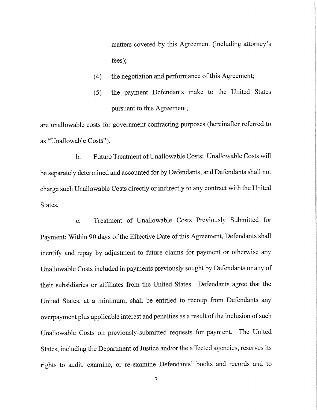matters covered by this Agreement (including attorney's  $fees$ );

- the negotiation and performance of this Agreement;  $(4)$
- the payment Defendants make to the United States  $(5)$ pursuant to this Agreement;

are unallowable costs for government contracting purposes (hereinafter referred to as "Unallowable Costs").

Future Treatment of Unallowable Costs: Unallowable Costs will  $\mathbf{b}$ . be separately determined and accounted for by Defendants, and Defendants shall not charge such Unallowable Costs directly or indirectly to any contract with the United States.

Treatment of Unallowable Costs Previously Submitted for  $\mathbf{c}$ . Payment: Within 90 days of the Effective Date of this Agreement, Defendants shall identify and repay by adjustment to future claims for payment or otherwise any Unallowable Costs included in payments previously sought by Defendants or any of their subsidiaries or affiliates from the United States. Defendants agree that the United States, at a minimum, shall be entitled to recoup from Defendants any overpayment plus applicable interest and penalties as a result of the inclusion of such Unallowable Costs on previously-submitted requests for payment. The United States, including the Department of Justice and/or the affected agencies, reserves its rights to audit, examine, or re-examine Defendants' books and records and to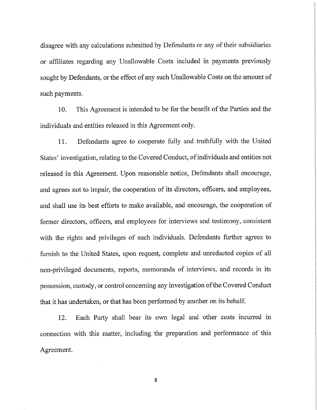disagree with any calculations submitted by Defendants or any of their subsidiaries or affiliates regarding any Unallowable Costs included in payments previously sought by Defendants, or the effect of any such Unallowable Costs on the amount of such payments.

 $10<sub>1</sub>$ This Agreement is intended to be for the benefit of the Parties and the individuals and entities released in this Agreement only.

Defendants agree to cooperate fully and truthfully with the United 11. States' investigation, relating to the Covered Conduct, of individuals and entities not released in this Agreement. Upon reasonable notice, Defendants shall encourage, and agrees not to impair, the cooperation of its directors, officers, and employees, and shall use its best efforts to make available, and encourage, the cooperation of former directors, officers, and employees for interviews and testimony, consistent with the rights and privileges of such individuals. Defendants further agrees to furnish to the United States, upon request, complete and unredacted copies of all non-privileged documents, reports, memoranda of interviews, and records in its possession, custody, or control concerning any investigation of the Covered Conduct that it has undertaken, or that has been performed by another on its behalf.

Each Party shall bear its own legal and other costs incurred in 12. connection with this matter, including the preparation and performance of this Agreement.

8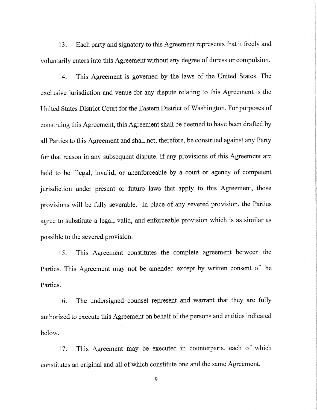Each party and signatory to this Agreement represents that it freely and 13. voluntarily enters into this Agreement without any degree of duress or compulsion.

This Agreement is governed by the laws of the United States. The 14. exclusive jurisdiction and venue for any dispute relating to this Agreement is the United States District Court for the Eastern District of Washington. For purposes of construing this Agreement, this Agreement shall be deemed to have been drafted by all Parties to this Agreement and shall not, therefore, be construed against any Party for that reason in any subsequent dispute. If any provisions of this Agreement are held to be illegal, invalid, or unenforceable by a court or agency of competent jurisdiction under present or future laws that apply to this Agreement, those provisions will be fully severable. In place of any severed provision, the Parties agree to substitute a legal, valid, and enforceable provision which is as similar as possible to the severed provision.

This Agreement constitutes the complete agreement between the 15. Parties. This Agreement may not be amended except by written consent of the Parties.

The undersigned counsel represent and warrant that they are fully 16. authorized to execute this Agreement on behalf of the persons and entities indicated below.

This Agreement may be executed in counterparts, each of which 17. constitutes an original and all of which constitute one and the same Agreement.

9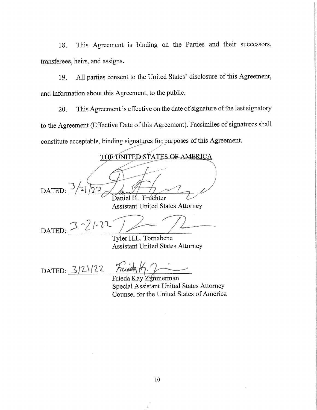This Agreement is binding on the Parties and their successors, 18. transferees, heirs, and assigns.

All parties consent to the United States' disclosure of this Agreement, 19. and information about this Agreement, to the public.

This Agreement is effective on the date of signature of the last signatory 20. to the Agreement (Effective Date of this Agreement). Facsimiles of signatures shall constitute acceptable, binding signatures for purposes of this Agreement.

THE UNITED STATES OF AMERICA DATED: Daniel H. Fruchter **Assistant United States Attorney**  $3 - 21 - 22$ DATED: Tyler H.L. Tornabene **Assistant United States Attorney** 

Frieda K. 2 DATED:  $3/2/22$ 

Frieda Kay Zimmerman Special Assistant United States Attorney Counsel for the United States of America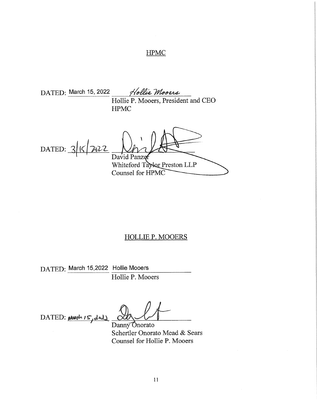# **HPMC**

DATED: March 15, 2022 Hollie Mooers Hollie P. Mooers, President and CEO **HPMC** 

DATED:  $3|5|22$ David Panzen Whiteford Taylor Preston LLP

Counsel for HPMC

#### **HOLLIE P. MOOERS**

DATED: March 15,2022 Hollie Mooers

Hollie P. Mooers

DATED: March 15, ded)

Danny Onorato Schertler Onorato Mead & Sears Counsel for Hollie P. Mooers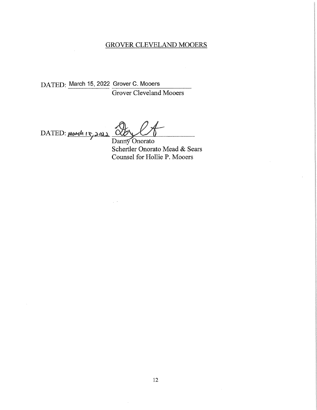### **GROVER CLEVELAND MOOERS**

DATED: March 15, 2022 Grover C. Mooers Grover Cleveland Mooers

DATED: March  $15,2011$   $\overrightarrow{O}$ 

 $\sim$   $\sim$ 

Danny Onorato Schertler Onorato Mead & Sears Counsel for Hollie P. Mooers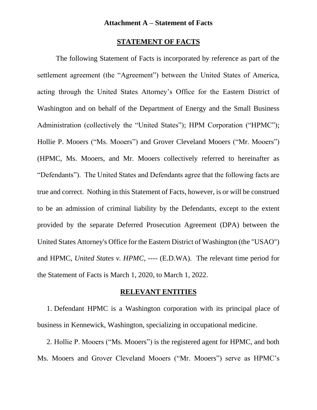#### **STATEMENT OF FACTS**

The following Statement of Facts is incorporated by reference as part of the settlement agreement (the "Agreement") between the United States of America, acting through the United States Attorney's Office for the Eastern District of Washington and on behalf of the Department of Energy and the Small Business Administration (collectively the "United States"); HPM Corporation ("HPMC"); Hollie P. Mooers ("Ms. Mooers") and Grover Cleveland Mooers ("Mr. Mooers") (HPMC, Ms. Mooers, and Mr. Mooers collectively referred to hereinafter as "Defendants"). The United States and Defendants agree that the following facts are true and correct. Nothing in this Statement of Facts, however, is or will be construed to be an admission of criminal liability by the Defendants, except to the extent provided by the separate Deferred Prosecution Agreement (DPA) between the United States Attorney's Office for the Eastern District of Washington (the "USAO") and HPMC, *United States v. HPMC*, ---- (E.D.WA). The relevant time period for the Statement of Facts is March 1, 2020, to March 1, 2022.

#### **RELEVANT ENTITIES**

1. Defendant HPMC is a Washington corporation with its principal place of business in Kennewick, Washington, specializing in occupational medicine.

2. Hollie P. Mooers ("Ms. Mooers") is the registered agent for HPMC, and both Ms. Mooers and Grover Cleveland Mooers ("Mr. Mooers") serve as HPMC's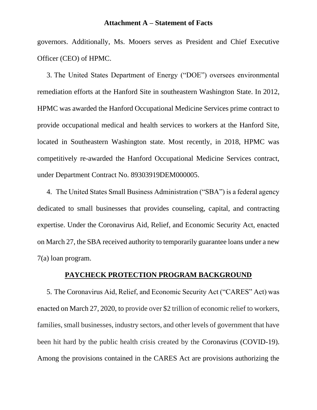governors. Additionally, Ms. Mooers serves as President and Chief Executive Officer (CEO) of HPMC.

3. The United States Department of Energy ("DOE") oversees environmental remediation efforts at the Hanford Site in southeastern Washington State. In 2012, HPMC was awarded the Hanford Occupational Medicine Services prime contract to provide occupational medical and health services to workers at the Hanford Site, located in Southeastern Washington state. Most recently, in 2018, HPMC was competitively re-awarded the Hanford Occupational Medicine Services contract, under Department Contract No. 89303919DEM000005.

4. The United States Small Business Administration ("SBA") is a federal agency dedicated to small businesses that provides counseling, capital, and contracting expertise. Under the Coronavirus Aid, Relief, and Economic Security Act, enacted on March 27, the SBA received authority to temporarily guarantee loans under a new 7(a) loan program.

## **PAYCHECK PROTECTION PROGRAM BACKGROUND**

5. The Coronavirus Aid, Relief, and Economic Security Act ("CARES" Act) was enacted on March 27, 2020, to provide over \$2 trillion of economic relief to workers, families, small businesses, industry sectors, and other levels of government that have been hit hard by the public health crisis created by the Coronavirus (COVID-19). Among the provisions contained in the CARES Act are provisions authorizing the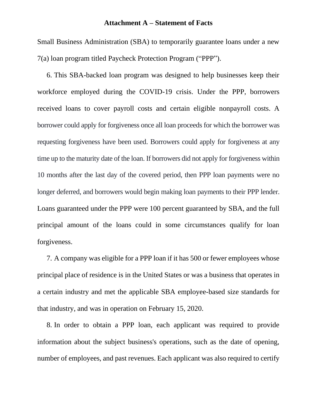Small Business Administration (SBA) to temporarily guarantee loans under a new 7(a) loan program titled Paycheck Protection Program ("PPP").

6. This SBA-backed loan program was designed to help businesses keep their workforce employed during the COVID-19 crisis. Under the PPP, borrowers received loans to cover payroll costs and certain eligible nonpayroll costs. A borrower could apply for forgiveness once all loan proceeds for which the borrower was requesting forgiveness have been used. Borrowers could apply for forgiveness at any time up to the maturity date of the loan. If borrowers did not apply for forgiveness within 10 months after the last day of the covered period, then PPP loan payments were no longer deferred, and borrowers would begin making loan payments to their PPP lender. Loans guaranteed under the PPP were 100 percent guaranteed by SBA, and the full principal amount of the loans could in some circumstances qualify for loan forgiveness.

7. A company was eligible for a PPP loan if it has 500 or fewer employees whose principal place of residence is in the United States or was a business that operates in a certain industry and met the applicable SBA employee-based size standards for that industry, and was in operation on February 15, 2020.

8. In order to obtain a PPP loan, each applicant was required to provide information about the subject business's operations, such as the date of opening, number of employees, and past revenues. Each applicant was also required to certify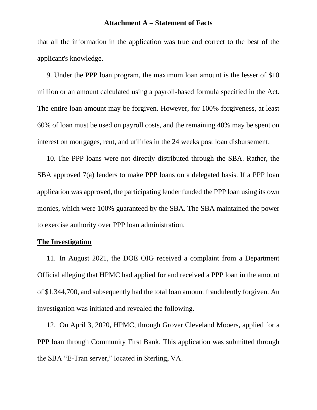that all the information in the application was true and correct to the best of the applicant's knowledge.

9. Under the PPP loan program, the maximum loan amount is the lesser of \$10 million or an amount calculated using a payroll-based formula specified in the Act. The entire loan amount may be forgiven. However, for 100% forgiveness, at least 60% of loan must be used on payroll costs, and the remaining 40% may be spent on interest on mortgages, rent, and utilities in the 24 weeks post loan disbursement.

10. The PPP loans were not directly distributed through the SBA. Rather, the SBA approved 7(a) lenders to make PPP loans on a delegated basis. If a PPP loan application was approved, the participating lender funded the PPP loan using its own monies, which were 100% guaranteed by the SBA. The SBA maintained the power to exercise authority over PPP loan administration.

#### **The Investigation**

11. In August 2021, the DOE OIG received a complaint from a Department Official alleging that HPMC had applied for and received a PPP loan in the amount of \$1,344,700, and subsequently had the total loan amount fraudulently forgiven. An investigation was initiated and revealed the following.

12. On April 3, 2020, HPMC, through Grover Cleveland Mooers, applied for a PPP loan through Community First Bank. This application was submitted through the SBA "E-Tran server," located in Sterling, VA.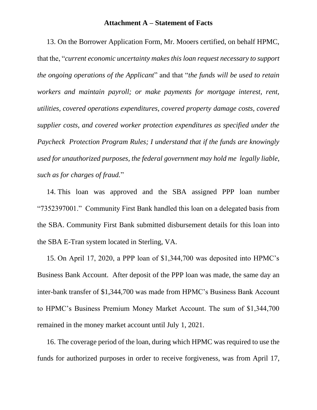13. On the Borrower Application Form, Mr. Mooers certified, on behalf HPMC, that the, "*current economic uncertainty makes this loan request necessary to support the ongoing operations of the Applicant*" and that "*the funds will be used to retain workers and maintain payroll; or make payments for mortgage interest, rent, utilities, covered operations expenditures, covered property damage costs, covered supplier costs, and covered worker protection expenditures as specified under the Paycheck Protection Program Rules; I understand that if the funds are knowingly used for unauthorized purposes, the federal government may hold me legally liable, such as for charges of fraud.*"

14. This loan was approved and the SBA assigned PPP loan number "7352397001." Community First Bank handled this loan on a delegated basis from the SBA. Community First Bank submitted disbursement details for this loan into the SBA E-Tran system located in Sterling, VA.

15. On April 17, 2020, a PPP loan of \$1,344,700 was deposited into HPMC's Business Bank Account. After deposit of the PPP loan was made, the same day an inter-bank transfer of \$1,344,700 was made from HPMC's Business Bank Account to HPMC's Business Premium Money Market Account. The sum of \$1,344,700 remained in the money market account until July 1, 2021.

16. The coverage period of the loan, during which HPMC was required to use the funds for authorized purposes in order to receive forgiveness, was from April 17,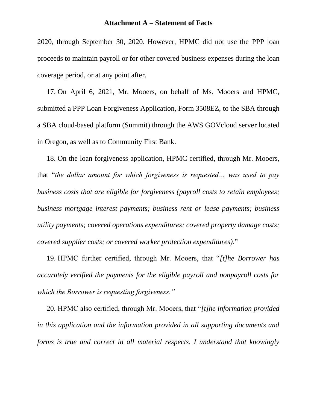2020, through September 30, 2020. However, HPMC did not use the PPP loan proceeds to maintain payroll or for other covered business expenses during the loan coverage period, or at any point after.

17. On April 6, 2021, Mr. Mooers, on behalf of Ms. Mooers and HPMC, submitted a PPP Loan Forgiveness Application, Form 3508EZ, to the SBA through a SBA cloud-based platform (Summit) through the AWS GOVcloud server located in Oregon, as well as to Community First Bank.

18. On the loan forgiveness application, HPMC certified, through Mr. Mooers, that "*the dollar amount for which forgiveness is requested… was used to pay business costs that are eligible for forgiveness (payroll costs to retain employees; business mortgage interest payments; business rent or lease payments; business utility payments; covered operations expenditures; covered property damage costs; covered supplier costs; or covered worker protection expenditures).*"

19. HPMC further certified, through Mr. Mooers, that "*[t]he Borrower has accurately verified the payments for the eligible payroll and nonpayroll costs for which the Borrower is requesting forgiveness."*

20. HPMC also certified, through Mr. Mooers, that "*[t]he information provided in this application and the information provided in all supporting documents and forms is true and correct in all material respects. I understand that knowingly*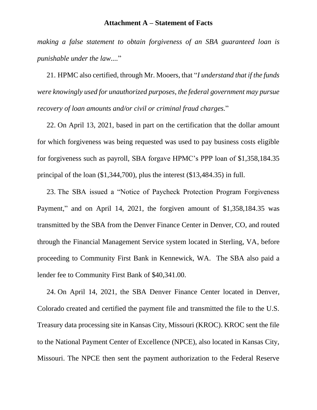*making a false statement to obtain forgiveness of an SBA guaranteed loan is punishable under the law....*"

21. HPMC also certified, through Mr. Mooers, that "*I understand that if the funds were knowingly used for unauthorized purposes, the federal government may pursue recovery of loan amounts and/or civil or criminal fraud charges.*"

22. On April 13, 2021, based in part on the certification that the dollar amount for which forgiveness was being requested was used to pay business costs eligible for forgiveness such as payroll, SBA forgave HPMC's PPP loan of \$1,358,184.35 principal of the loan (\$1,344,700), plus the interest (\$13,484.35) in full.

23. The SBA issued a "Notice of Paycheck Protection Program Forgiveness Payment," and on April 14, 2021, the forgiven amount of \$1,358,184.35 was transmitted by the SBA from the Denver Finance Center in Denver, CO, and routed through the Financial Management Service system located in Sterling, VA, before proceeding to Community First Bank in Kennewick, WA. The SBA also paid a lender fee to Community First Bank of \$40,341.00.

24. On April 14, 2021, the SBA Denver Finance Center located in Denver, Colorado created and certified the payment file and transmitted the file to the U.S. Treasury data processing site in Kansas City, Missouri (KROC). KROC sent the file to the National Payment Center of Excellence (NPCE), also located in Kansas City, Missouri. The NPCE then sent the payment authorization to the Federal Reserve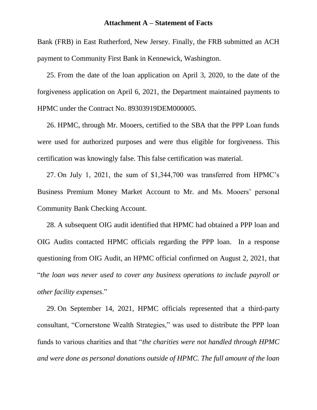Bank (FRB) in East Rutherford, New Jersey. Finally, the FRB submitted an ACH payment to Community First Bank in Kennewick, Washington.

25. From the date of the loan application on April 3, 2020, to the date of the forgiveness application on April 6, 2021, the Department maintained payments to HPMC under the Contract No. 89303919DEM000005.

26. HPMC, through Mr. Mooers, certified to the SBA that the PPP Loan funds were used for authorized purposes and were thus eligible for forgiveness. This certification was knowingly false. This false certification was material.

27. On July 1, 2021, the sum of \$1,344,700 was transferred from HPMC's Business Premium Money Market Account to Mr. and Ms. Mooers' personal Community Bank Checking Account.

28. A subsequent OIG audit identified that HPMC had obtained a PPP loan and OIG Audits contacted HPMC officials regarding the PPP loan. In a response questioning from OIG Audit, an HPMC official confirmed on August 2, 2021, that "*the loan was never used to cover any business operations to include payroll or other facility expenses*."

29. On September 14, 2021, HPMC officials represented that a third-party consultant, "Cornerstone Wealth Strategies," was used to distribute the PPP loan funds to various charities and that "*the charities were not handled through HPMC and were done as personal donations outside of HPMC. The full amount of the loan*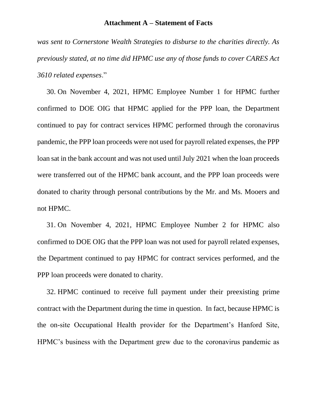*was sent to Cornerstone Wealth Strategies to disburse to the charities directly. As previously stated, at no time did HPMC use any of those funds to cover CARES Act 3610 related expenses*."

30. On November 4, 2021, HPMC Employee Number 1 for HPMC further confirmed to DOE OIG that HPMC applied for the PPP loan, the Department continued to pay for contract services HPMC performed through the coronavirus pandemic, the PPP loan proceeds were not used for payroll related expenses, the PPP loan sat in the bank account and was not used until July 2021 when the loan proceeds were transferred out of the HPMC bank account, and the PPP loan proceeds were donated to charity through personal contributions by the Mr. and Ms. Mooers and not HPMC.

31. On November 4, 2021, HPMC Employee Number 2 for HPMC also confirmed to DOE OIG that the PPP loan was not used for payroll related expenses, the Department continued to pay HPMC for contract services performed, and the PPP loan proceeds were donated to charity.

32. HPMC continued to receive full payment under their preexisting prime contract with the Department during the time in question. In fact, because HPMC is the on-site Occupational Health provider for the Department's Hanford Site, HPMC's business with the Department grew due to the coronavirus pandemic as